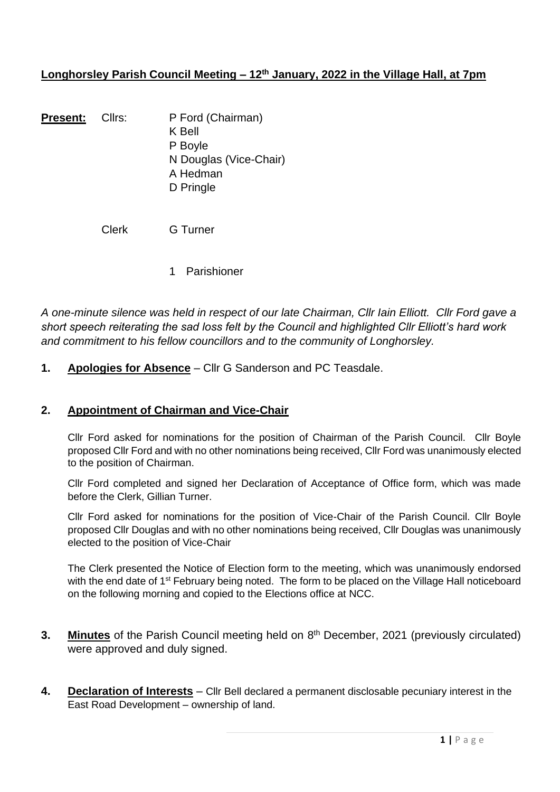# **Longhorsley Parish Council Meeting – 12th January, 2022 in the Village Hall, at 7pm**

| Present: | Cllrs: | P Ford (Chairman)      |
|----------|--------|------------------------|
|          |        | <b>K</b> Bell          |
|          |        | P Boyle                |
|          |        | N Douglas (Vice-Chair) |
|          |        | A Hedman               |
|          |        | D Pringle              |
|          |        |                        |

Clerk G Turner

1 Parishioner

*A one-minute silence was held in respect of our late Chairman, Cllr Iain Elliott. Cllr Ford gave a short speech reiterating the sad loss felt by the Council and highlighted Cllr Elliott's hard work and commitment to his fellow councillors and to the community of Longhorsley.*

**1. Apologies for Absence** – Cllr G Sanderson and PC Teasdale.

#### **2. Appointment of Chairman and Vice-Chair**

Cllr Ford asked for nominations for the position of Chairman of the Parish Council. Cllr Boyle proposed Cllr Ford and with no other nominations being received, Cllr Ford was unanimously elected to the position of Chairman.

Cllr Ford completed and signed her Declaration of Acceptance of Office form, which was made before the Clerk, Gillian Turner.

Cllr Ford asked for nominations for the position of Vice-Chair of the Parish Council. Cllr Boyle proposed Cllr Douglas and with no other nominations being received, Cllr Douglas was unanimously elected to the position of Vice-Chair

The Clerk presented the Notice of Election form to the meeting, which was unanimously endorsed with the end date of 1<sup>st</sup> February being noted. The form to be placed on the Village Hall noticeboard on the following morning and copied to the Elections office at NCC.

- **3.** Minutes of the Parish Council meeting held on 8<sup>th</sup> December, 2021 (previously circulated) were approved and duly signed.
- **4. Declaration of Interests** Cllr Bell declared a permanent disclosable pecuniary interest in the East Road Development – ownership of land.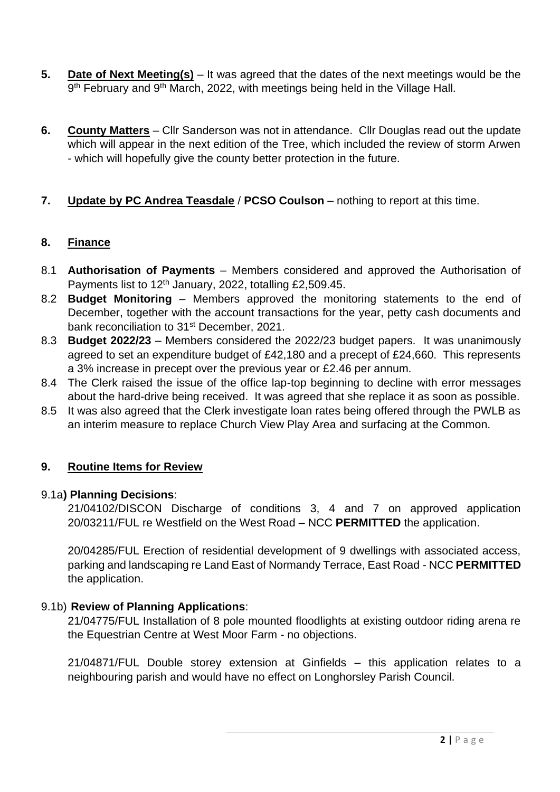- **5. Date of Next Meeting(s)** It was agreed that the dates of the next meetings would be the 9<sup>th</sup> February and 9<sup>th</sup> March, 2022, with meetings being held in the Village Hall.
- **6. County Matters** Cllr Sanderson was not in attendance. Cllr Douglas read out the update which will appear in the next edition of the Tree, which included the review of storm Arwen - which will hopefully give the county better protection in the future.

# **7. Update by PC Andrea Teasdale** / **PCSO Coulson** – nothing to report at this time.

### **8. Finance**

- 8.1 **Authorisation of Payments** Members considered and approved the Authorisation of Payments list to 12<sup>th</sup> January, 2022, totalling £2,509.45.
- 8.2 **Budget Monitoring** Members approved the monitoring statements to the end of December, together with the account transactions for the year, petty cash documents and bank reconciliation to 31<sup>st</sup> December, 2021.
- 8.3 **Budget 2022/23** Members considered the 2022/23 budget papers. It was unanimously agreed to set an expenditure budget of £42,180 and a precept of £24,660. This represents a 3% increase in precept over the previous year or £2.46 per annum.
- 8.4 The Clerk raised the issue of the office lap-top beginning to decline with error messages about the hard-drive being received. It was agreed that she replace it as soon as possible.
- 8.5 It was also agreed that the Clerk investigate loan rates being offered through the PWLB as an interim measure to replace Church View Play Area and surfacing at the Common.

## **9. Routine Items for Review**

#### 9.1a**) Planning Decisions**:

21/04102/DISCON Discharge of conditions 3, 4 and 7 on approved application 20/03211/FUL re Westfield on the West Road – NCC **PERMITTED** the application.

20/04285/FUL Erection of residential development of 9 dwellings with associated access, parking and landscaping re Land East of Normandy Terrace, East Road - NCC **PERMITTED** the application.

## 9.1b) **Review of Planning Applications**:

21/04775/FUL Installation of 8 pole mounted floodlights at existing outdoor riding arena re the Equestrian Centre at West Moor Farm - no objections.

21/04871/FUL Double storey extension at Ginfields – this application relates to a neighbouring parish and would have no effect on Longhorsley Parish Council.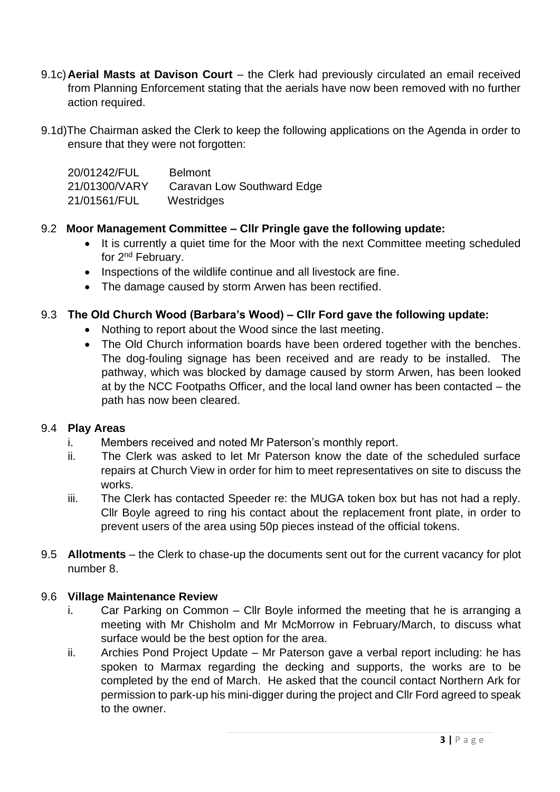- 9.1c)**Aerial Masts at Davison Court** the Clerk had previously circulated an email received from Planning Enforcement stating that the aerials have now been removed with no further action required.
- 9.1d)The Chairman asked the Clerk to keep the following applications on the Agenda in order to ensure that they were not forgotten:

| 20/01242/FUL  | <b>Belmont</b>             |
|---------------|----------------------------|
| 21/01300/VARY | Caravan Low Southward Edge |
| 21/01561/FUL  | Westridges                 |

### 9.2 **Moor Management Committee – Cllr Pringle gave the following update:**

- It is currently a quiet time for the Moor with the next Committee meeting scheduled for 2nd February.
- Inspections of the wildlife continue and all livestock are fine.
- The damage caused by storm Arwen has been rectified.

### 9.3 **The Old Church Wood (Barbara's Wood) – Cllr Ford gave the following update:**

- Nothing to report about the Wood since the last meeting.
- The Old Church information boards have been ordered together with the benches. The dog-fouling signage has been received and are ready to be installed. The pathway, which was blocked by damage caused by storm Arwen, has been looked at by the NCC Footpaths Officer, and the local land owner has been contacted – the path has now been cleared.

#### 9.4 **Play Areas**

- i. Members received and noted Mr Paterson's monthly report.
- ii. The Clerk was asked to let Mr Paterson know the date of the scheduled surface repairs at Church View in order for him to meet representatives on site to discuss the works.
- iii. The Clerk has contacted Speeder re: the MUGA token box but has not had a reply. Cllr Boyle agreed to ring his contact about the replacement front plate, in order to prevent users of the area using 50p pieces instead of the official tokens.
- 9.5 **Allotments** the Clerk to chase-up the documents sent out for the current vacancy for plot number 8.

## 9.6 **Village Maintenance Review**

- i. Car Parking on Common Cllr Boyle informed the meeting that he is arranging a meeting with Mr Chisholm and Mr McMorrow in February/March, to discuss what surface would be the best option for the area.
- ii. Archies Pond Project Update Mr Paterson gave a verbal report including: he has spoken to Marmax regarding the decking and supports, the works are to be completed by the end of March. He asked that the council contact Northern Ark for permission to park-up his mini-digger during the project and Cllr Ford agreed to speak to the owner.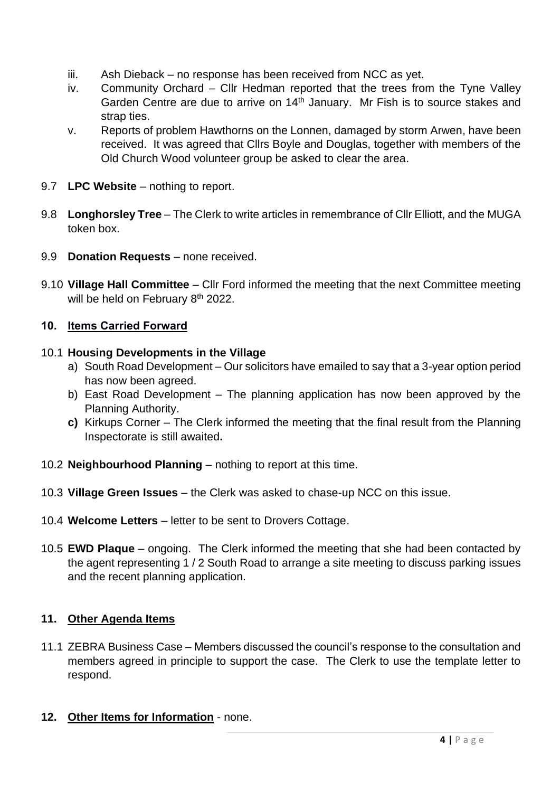- iii. Ash Dieback no response has been received from NCC as yet.
- iv. Community Orchard Cllr Hedman reported that the trees from the Tyne Valley Garden Centre are due to arrive on 14<sup>th</sup> January. Mr Fish is to source stakes and strap ties.
- v. Reports of problem Hawthorns on the Lonnen, damaged by storm Arwen, have been received. It was agreed that Cllrs Boyle and Douglas, together with members of the Old Church Wood volunteer group be asked to clear the area.
- 9.7 **LPC Website** nothing to report.
- 9.8 **Longhorsley Tree** The Clerk to write articles in remembrance of Cllr Elliott, and the MUGA token box.
- 9.9 **Donation Requests** none received.
- 9.10 **Village Hall Committee** Cllr Ford informed the meeting that the next Committee meeting will be held on February 8<sup>th</sup> 2022.

# **10. Items Carried Forward**

## 10.1 **Housing Developments in the Village**

- a) South Road Development Our solicitors have emailed to say that a 3-year option period has now been agreed.
- b) East Road Development The planning application has now been approved by the Planning Authority.
- **c)** Kirkups Corner The Clerk informed the meeting that the final result from the Planning Inspectorate is still awaited**.**
- 10.2 **Neighbourhood Planning** nothing to report at this time.
- 10.3 **Village Green Issues** the Clerk was asked to chase-up NCC on this issue.
- 10.4 **Welcome Letters** letter to be sent to Drovers Cottage.
- 10.5 **EWD Plaque** ongoing. The Clerk informed the meeting that she had been contacted by the agent representing 1 / 2 South Road to arrange a site meeting to discuss parking issues and the recent planning application.

## **11. Other Agenda Items**

- 11.1 ZEBRA Business Case Members discussed the council's response to the consultation and members agreed in principle to support the case. The Clerk to use the template letter to respond.
- **12. Other Items for Information** none.